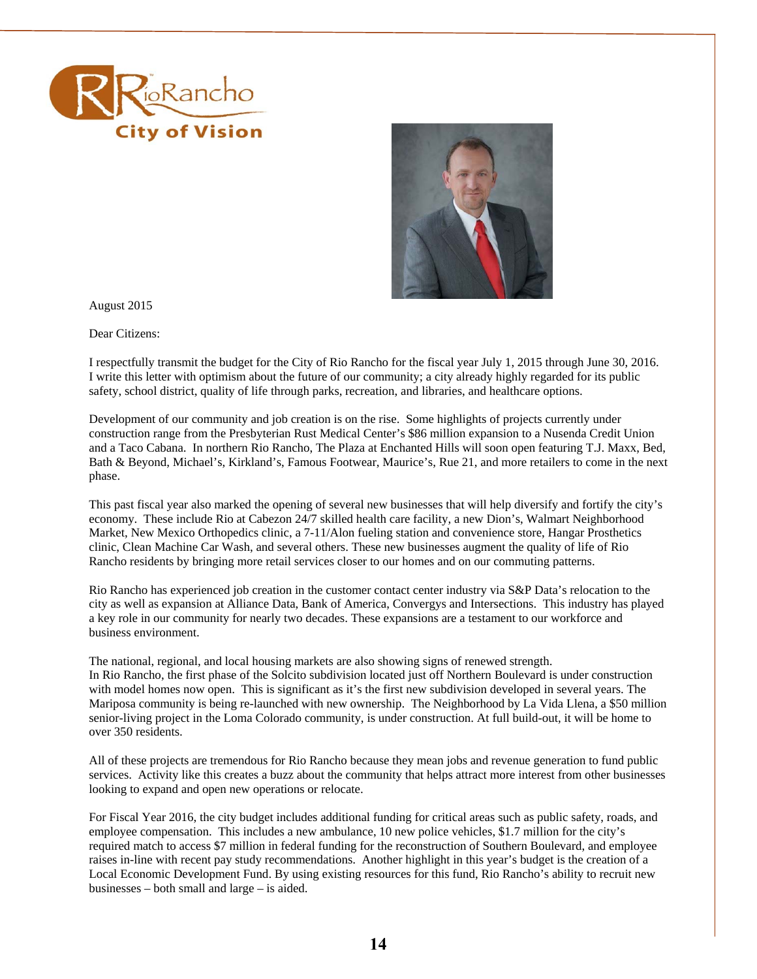



August 2015

Dear Citizens:

I respectfully transmit the budget for the City of Rio Rancho for the fiscal year July 1, 2015 through June 30, 2016. I write this letter with optimism about the future of our community; a city already highly regarded for its public safety, school district, quality of life through parks, recreation, and libraries, and healthcare options.

 construction range from the Presbyterian Rust Medical Center's \$86 million expansion to a Nusenda Credit Union Development of our community and job creation is on the rise. Some highlights of projects currently under and a Taco Cabana. In northern Rio Rancho, The Plaza at Enchanted Hills will soon open featuring T.J. Maxx, Bed, Bath & Beyond, Michael's, Kirkland's, Famous Footwear, Maurice's, Rue 21, and more retailers to come in the next phase.

 economy. These include Rio at Cabezon 24/7 skilled health care facility, a new Dion's, Walmart Neighborhood This past fiscal year also marked the opening of several new businesses that will help diversify and fortify the city's Market, New Mexico Orthopedics clinic, a 7-11/Alon fueling station and convenience store, Hangar Prosthetics clinic, Clean Machine Car Wash, and several others. These new businesses augment the quality of life of Rio Rancho residents by bringing more retail services closer to our homes and on our commuting patterns.

Rio Rancho has experienced job creation in the customer contact center industry via S&P Data's relocation to the city as well as expansion at Alliance Data, Bank of America, Convergys and Intersections. This industry has played a key role in our community for nearly two decades. These expansions are a testament to our workforce and business environment.

 Mariposa community is being re-launched with new ownership. The Neighborhood by La Vida Llena, a \$50 million The national, regional, and local housing markets are also showing signs of renewed strength. In Rio Rancho, the first phase of the Solcito subdivision located just off Northern Boulevard is under construction with model homes now open. This is significant as it's the first new subdivision developed in several years. The senior-living project in the Loma Colorado community, is under construction. At full build-out, it will be home to over 350 residents.

 All of these projects are tremendous for Rio Rancho because they mean jobs and revenue generation to fund public services. Activity like this creates a buzz about the community that helps attract more interest from other businesses looking to expand and open new operations or relocate.

 raises in-line with recent pay study recommendations. Another highlight in this year's budget is the creation of a businesses – both small and large – is aided. For Fiscal Year 2016, the city budget includes additional funding for critical areas such as public safety, roads, and employee compensation. This includes a new ambulance, 10 new police vehicles, \$1.7 million for the city's required match to access \$7 million in federal funding for the reconstruction of Southern Boulevard, and employee Local Economic Development Fund. By using existing resources for this fund, Rio Rancho's ability to recruit new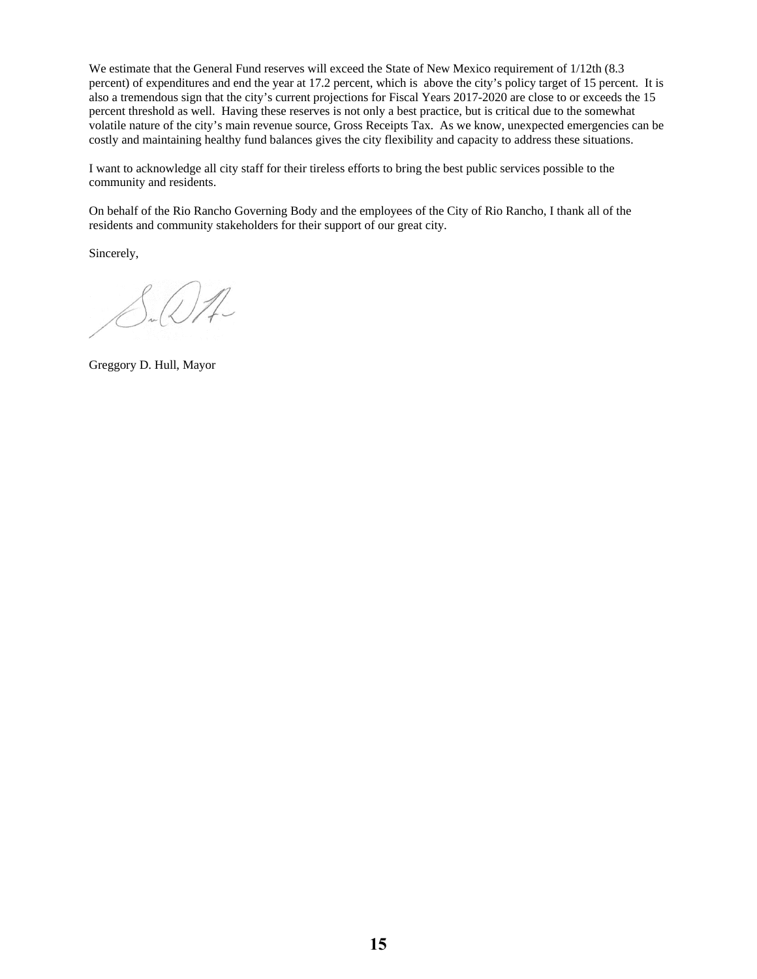volatile nature of the city's main revenue source, Gross Receipts Tax. As we know, unexpected emergencies can be We estimate that the General Fund reserves will exceed the State of New Mexico requirement of  $1/12$ th (8.3) percent) of expenditures and end the year at 17.2 percent, which is above the city's policy target of 15 percent. It is also a tremendous sign that the city's current projections for Fiscal Years 2017-2020 are close to or exceeds the 15 percent threshold as well. Having these reserves is not only a best practice, but is critical due to the somewhat costly and maintaining healthy fund balances gives the city flexibility and capacity to address these situations.

I want to acknowledge all city staff for their tireless efforts to bring the best public services possible to the community and residents.

On behalf of the Rio Rancho Governing Body and the employees of the City of Rio Rancho, I thank all of the residents and community stakeholders for their support of our great city.

Sincerely,

 $\int_{\mathcal{H}}\mathcal{Q}\mathcal{A}$ 

Greggory D. Hull, Mayor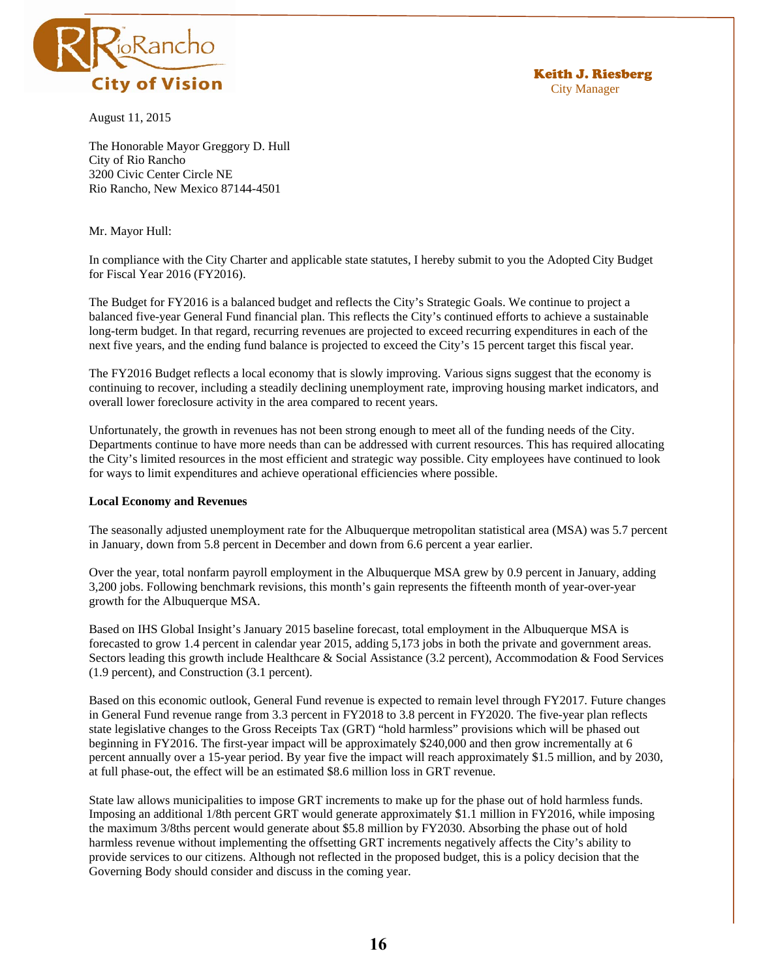

August 11, 2015

Keith J. Riesberg City Manager

The Honorable Mayor Greggory D. Hull City of Rio Rancho 3200 Civic Center Circle NE Rio Rancho, New Mexico 87144-4501

Mr. Mayor Hull:

In compliance with the City Charter and applicable state statutes, I hereby submit to you the Adopted City Budget for Fiscal Year 2016 (FY2016).

 balanced five-year General Fund financial plan. This reflects the City's continued efforts to achieve a sustainable The Budget for FY2016 is a balanced budget and reflects the City's Strategic Goals. We continue to project a long-term budget. In that regard, recurring revenues are projected to exceed recurring expenditures in each of the next five years, and the ending fund balance is projected to exceed the City's 15 percent target this fiscal year.

The FY2016 Budget reflects a local economy that is slowly improving. Various signs suggest that the economy is continuing to recover, including a steadily declining unemployment rate, improving housing market indicators, and overall lower foreclosure activity in the area compared to recent years.

 Departments continue to have more needs than can be addressed with current resources. This has required allocating Unfortunately, the growth in revenues has not been strong enough to meet all of the funding needs of the City. the City's limited resources in the most efficient and strategic way possible. City employees have continued to look for ways to limit expenditures and achieve operational efficiencies where possible.

### **Local Economy and Revenues**

The seasonally adjusted unemployment rate for the Albuquerque metropolitan statistical area (MSA) was 5.7 percent in January, down from 5.8 percent in December and down from 6.6 percent a year earlier.

 Over the year, total nonfarm payroll employment in the Albuquerque MSA grew by 0.9 percent in January, adding 3,200 jobs. Following benchmark revisions, this month's gain represents the fifteenth month of year-over-year growth for the Albuquerque MSA.

Based on IHS Global Insight's January 2015 baseline forecast, total employment in the Albuquerque MSA is forecasted to grow 1.4 percent in calendar year 2015, adding 5,173 jobs in both the private and government areas. Sectors leading this growth include Healthcare & Social Assistance (3.2 percent), Accommodation & Food Services (1.9 percent), and Construction (3.1 percent).

 in General Fund revenue range from 3.3 percent in FY2018 to 3.8 percent in FY2020. The five-year plan reflects Based on this economic outlook, General Fund revenue is expected to remain level through FY2017. Future changes state legislative changes to the Gross Receipts Tax (GRT) "hold harmless" provisions which will be phased out beginning in FY2016. The first-year impact will be approximately \$240,000 and then grow incrementally at 6 percent annually over a 15-year period. By year five the impact will reach approximately \$1.5 million, and by 2030, at full phase-out, the effect will be an estimated \$8.6 million loss in GRT revenue.

 the maximum 3/8ths percent would generate about \$5.8 million by FY2030. Absorbing the phase out of hold State law allows municipalities to impose GRT increments to make up for the phase out of hold harmless funds. Imposing an additional 1/8th percent GRT would generate approximately \$1.1 million in FY2016, while imposing harmless revenue without implementing the offsetting GRT increments negatively affects the City's ability to provide services to our citizens. Although not reflected in the proposed budget, this is a policy decision that the Governing Body should consider and discuss in the coming year.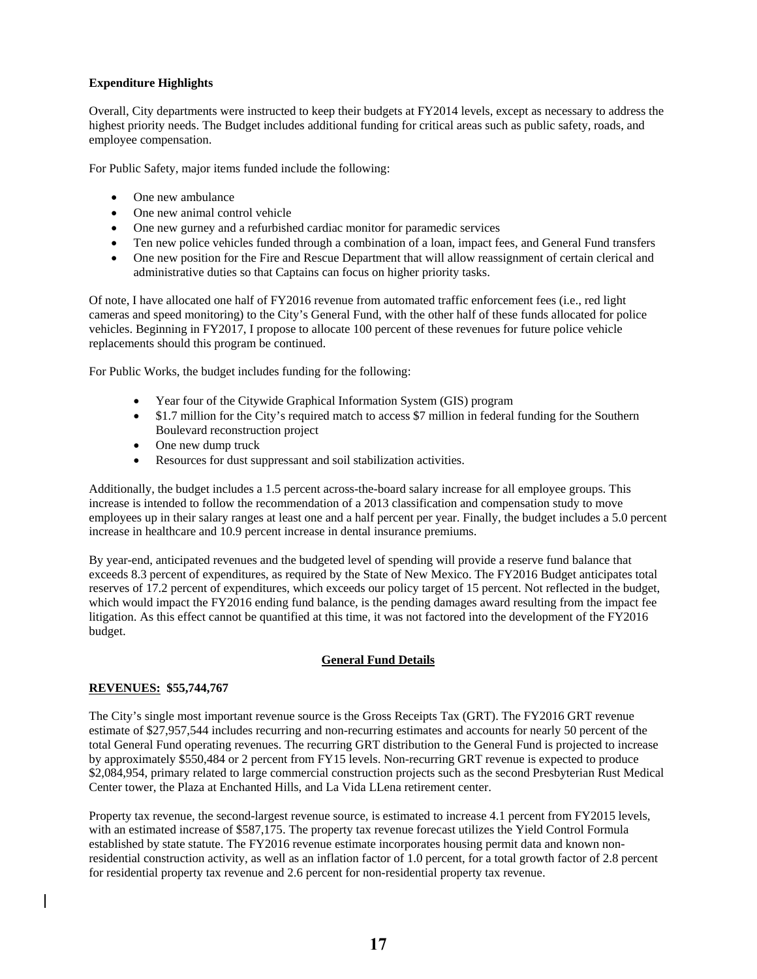# **Expenditure Highlights**

Overall, City departments were instructed to keep their budgets at FY2014 levels, except as necessary to address the highest priority needs. The Budget includes additional funding for critical areas such as public safety, roads, and employee compensation.

For Public Safety, major items funded include the following:

- One new ambulance
- One new animal control vehicle
- One new gurney and a refurbished cardiac monitor for paramedic services
- Ten new police vehicles funded through a combination of a loan, impact fees, and General Fund transfers
- One new position for the Fire and Rescue Department that will allow reassignment of certain clerical and administrative duties so that Captains can focus on higher priority tasks.

 vehicles. Beginning in FY2017, I propose to allocate 100 percent of these revenues for future police vehicle Of note, I have allocated one half of FY2016 revenue from automated traffic enforcement fees (i.e., red light cameras and speed monitoring) to the City's General Fund, with the other half of these funds allocated for police replacements should this program be continued.

For Public Works, the budget includes funding for the following:

- Year four of the Citywide Graphical Information System (GIS) program
- Boulevard reconstruction project \$1.7 million for the City's required match to access \$7 million in federal funding for the Southern
- One new dump truck
- Resources for dust suppressant and soil stabilization activities.

 increase is intended to follow the recommendation of a 2013 classification and compensation study to move Additionally, the budget includes a 1.5 percent across-the-board salary increase for all employee groups. This employees up in their salary ranges at least one and a half percent per year. Finally, the budget includes a 5.0 percent increase in healthcare and 10.9 percent increase in dental insurance premiums.

 reserves of 17.2 percent of expenditures, which exceeds our policy target of 15 percent. Not reflected in the budget, which would impact the FY2016 ending fund balance, is the pending damages award resulting from the impact fee By year-end, anticipated revenues and the budgeted level of spending will provide a reserve fund balance that exceeds 8.3 percent of expenditures, as required by the State of New Mexico. The FY2016 Budget anticipates total litigation. As this effect cannot be quantified at this time, it was not factored into the development of the FY2016 budget.

# **General Fund Details**

### **REVENUES: \$55,744,767**

 by approximately \$550,484 or 2 percent from FY15 levels. Non-recurring GRT revenue is expected to produce The City's single most important revenue source is the Gross Receipts Tax (GRT). The FY2016 GRT revenue estimate of \$27,957,544 includes recurring and non-recurring estimates and accounts for nearly 50 percent of the total General Fund operating revenues. The recurring GRT distribution to the General Fund is projected to increase \$2,084,954, primary related to large commercial construction projects such as the second Presbyterian Rust Medical Center tower, the Plaza at Enchanted Hills, and La Vida LLena retirement center.

Property tax revenue, the second-largest revenue source, is estimated to increase 4.1 percent from FY2015 levels, with an estimated increase of \$587,175. The property tax revenue forecast utilizes the Yield Control Formula established by state statute. The FY2016 revenue estimate incorporates housing permit data and known nonresidential construction activity, as well as an inflation factor of 1.0 percent, for a total growth factor of 2.8 percent for residential property tax revenue and 2.6 percent for non-residential property tax revenue.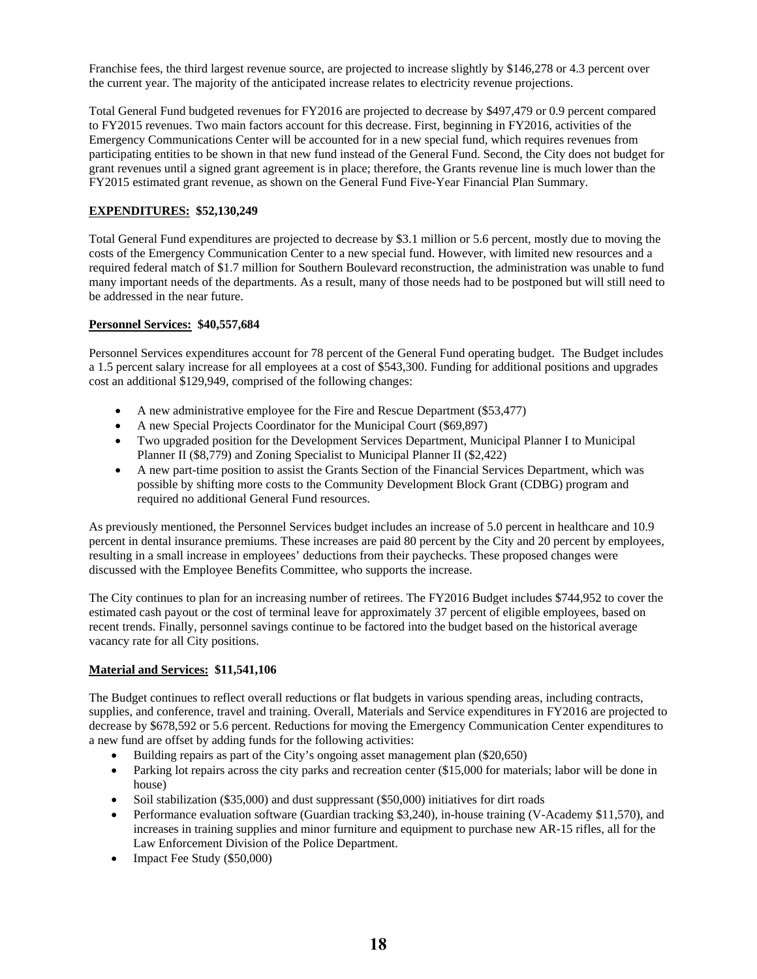Franchise fees, the third largest revenue source, are projected to increase slightly by \$146,278 or 4.3 percent over the current year. The majority of the anticipated increase relates to electricity revenue projections.

 Total General Fund budgeted revenues for FY2016 are projected to decrease by \$497,479 or 0.9 percent compared to FY2015 revenues. Two main factors account for this decrease. First, beginning in FY2016, activities of the Emergency Communications Center will be accounted for in a new special fund, which requires revenues from participating entities to be shown in that new fund instead of the General Fund. Second, the City does not budget for grant revenues until a signed grant agreement is in place; therefore, the Grants revenue line is much lower than the FY2015 estimated grant revenue, as shown on the General Fund Five-Year Financial Plan Summary.

# **EXPENDITURES: \$52,130,249**

 Total General Fund expenditures are projected to decrease by \$3.1 million or 5.6 percent, mostly due to moving the required federal match of \$1.7 million for Southern Boulevard reconstruction, the administration was unable to fund many important needs of the departments. As a result, many of those needs had to be postponed but will still need to be addressed in the near future. costs of the Emergency Communication Center to a new special fund. However, with limited new resources and a

# **Personnel Services: \$40,557,684**

 a 1.5 percent salary increase for all employees at a cost of \$543,300. Funding for additional positions and upgrades Personnel Services expenditures account for 78 percent of the General Fund operating budget. The Budget includes cost an additional \$129,949, comprised of the following changes:

- A new administrative employee for the Fire and Rescue Department (\$53,477)
- A new Special Projects Coordinator for the Municipal Court (\$69,897)
- Two upgraded position for the Development Services Department, Municipal Planner I to Municipal Planner II (\$8,779) and Zoning Specialist to Municipal Planner II (\$2,422)
- A new part-time position to assist the Grants Section of the Financial Services Department, which was possible by shifting more costs to the Community Development Block Grant (CDBG) program and required no additional General Fund resources.

 percent in dental insurance premiums. These increases are paid 80 percent by the City and 20 percent by employees, As previously mentioned, the Personnel Services budget includes an increase of 5.0 percent in healthcare and 10.9 resulting in a small increase in employees' deductions from their paychecks. These proposed changes were discussed with the Employee Benefits Committee, who supports the increase.

 The City continues to plan for an increasing number of retirees. The FY2016 Budget includes \$744,952 to cover the estimated cash payout or the cost of terminal leave for approximately 37 percent of eligible employees, based on recent trends. Finally, personnel savings continue to be factored into the budget based on the historical average vacancy rate for all City positions.

# **Material and Services: \$11,541,106**

 The Budget continues to reflect overall reductions or flat budgets in various spending areas, including contracts, decrease by \$678,592 or 5.6 percent. Reductions for moving the Emergency Communication Center expenditures to supplies, and conference, travel and training. Overall, Materials and Service expenditures in FY2016 are projected to a new fund are offset by adding funds for the following activities:

- Building repairs as part of the City's ongoing asset management plan (\$20,650)
- Parking lot repairs across the city parks and recreation center (\$15,000 for materials; labor will be done in house)
- Soil stabilization (\$35,000) and dust suppressant (\$50,000) initiatives for dirt roads
- Performance evaluation software (Guardian tracking \$3,240), in-house training (V-Academy \$11,570), and increases in training supplies and minor furniture and equipment to purchase new AR-15 rifles, all for the Law Enforcement Division of the Police Department.
- Impact Fee Study (\$50,000)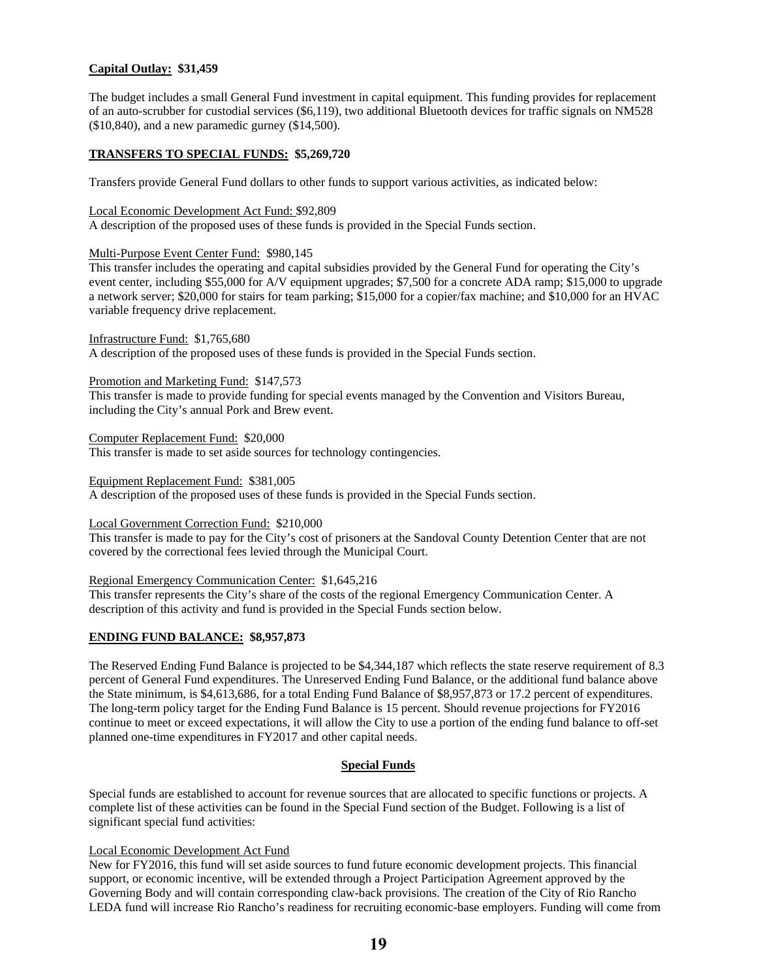## **Capital Outlay: \$31,459**

 of an auto-scrubber for custodial services (\$6,119), two additional Bluetooth devices for traffic signals on NM528 The budget includes a small General Fund investment in capital equipment. This funding provides for replacement (\$10,840), and a new paramedic gurney (\$14,500).

## **TRANSFERS TO SPECIAL FUNDS: \$5,269,720**

Transfers provide General Fund dollars to other funds to support various activities, as indicated below:

## Local Economic Development Act Fund: \$92,809

A description of the proposed uses of these funds is provided in the Special Funds section.

### Multi-Purpose Event Center Fund: \$980,145

 event center, including \$55,000 for A/V equipment upgrades; \$7,500 for a concrete ADA ramp; \$15,000 to upgrade a network server; \$20,000 for stairs for team parking; \$15,000 for a copier/fax machine; and \$10,000 for an HVAC This transfer includes the operating and capital subsidies provided by the General Fund for operating the City's variable frequency drive replacement.

Infrastructure Fund: \$1,765,680

A description of the proposed uses of these funds is provided in the Special Funds section.

## Promotion and Marketing Fund: \$147,573

This transfer is made to provide funding for special events managed by the Convention and Visitors Bureau, including the City's annual Pork and Brew event.

Computer Replacement Fund: \$20,000

This transfer is made to set aside sources for technology contingencies.

#### Equipment Replacement Fund: \$381,005

A description of the proposed uses of these funds is provided in the Special Funds section.

## Local Government Correction Fund: \$210,000

This transfer is made to pay for the City's cost of prisoners at the Sandoval County Detention Center that are not covered by the correctional fees levied through the Municipal Court.

### Regional Emergency Communication Center: \$1,645,216

This transfer represents the City's share of the costs of the regional Emergency Communication Center. A description of this activity and fund is provided in the Special Funds section below.

## **ENDING FUND BALANCE: \$8,957,873**

 The Reserved Ending Fund Balance is projected to be \$4,344,187 which reflects the state reserve requirement of 8.3 the State minimum, is \$4,613,686, for a total Ending Fund Balance of \$8,957,873 or 17.2 percent of expenditures. percent of General Fund expenditures. The Unreserved Ending Fund Balance, or the additional fund balance above The long-term policy target for the Ending Fund Balance is 15 percent. Should revenue projections for FY2016 continue to meet or exceed expectations, it will allow the City to use a portion of the ending fund balance to off-set planned one-time expenditures in FY2017 and other capital needs.

### **Special Funds**

Special funds are established to account for revenue sources that are allocated to specific functions or projects. A complete list of these activities can be found in the Special Fund section of the Budget. Following is a list of significant special fund activities:

### Local Economic Development Act Fund

 Governing Body and will contain corresponding claw-back provisions. The creation of the City of Rio Rancho New for FY2016, this fund will set aside sources to fund future economic development projects. This financial support, or economic incentive, will be extended through a Project Participation Agreement approved by the LEDA fund will increase Rio Rancho's readiness for recruiting economic-base employers. Funding will come from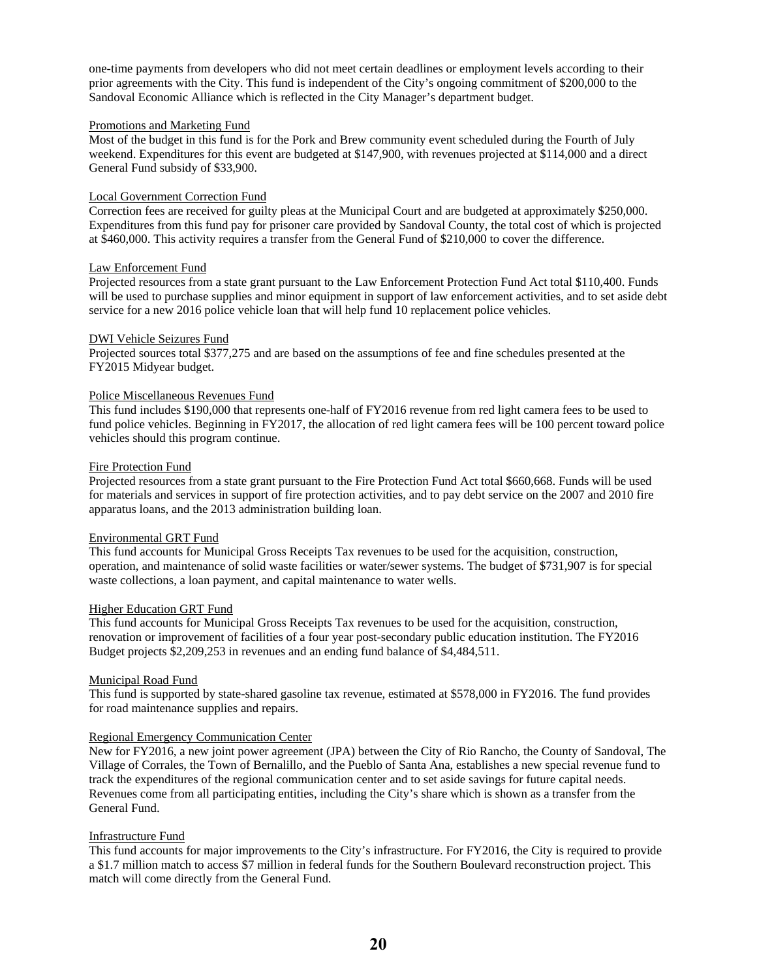one-time payments from developers who did not meet certain deadlines or employment levels according to their prior agreements with the City. This fund is independent of the City's ongoing commitment of \$200,000 to the Sandoval Economic Alliance which is reflected in the City Manager's department budget.

## Promotions and Marketing Fund

 General Fund subsidy of \$33,900. Most of the budget in this fund is for the Pork and Brew community event scheduled during the Fourth of July weekend. Expenditures for this event are budgeted at \$147,900, with revenues projected at \$114,000 and a direct

## Local Government Correction Fund

 Expenditures from this fund pay for prisoner care provided by Sandoval County, the total cost of which is projected Correction fees are received for guilty pleas at the Municipal Court and are budgeted at approximately \$250,000. at \$460,000. This activity requires a transfer from the General Fund of \$210,000 to cover the difference.

## Law Enforcement Fund

Projected resources from a state grant pursuant to the Law Enforcement Protection Fund Act total \$110,400. Funds will be used to purchase supplies and minor equipment in support of law enforcement activities, and to set aside debt service for a new 2016 police vehicle loan that will help fund 10 replacement police vehicles.

## DWI Vehicle Seizures Fund

Projected sources total \$377,275 and are based on the assumptions of fee and fine schedules presented at the FY2015 Midyear budget.

## Police Miscellaneous Revenues Fund

 This fund includes \$190,000 that represents one-half of FY2016 revenue from red light camera fees to be used to vehicles should this program continue. fund police vehicles. Beginning in FY2017, the allocation of red light camera fees will be 100 percent toward police

## Fire Protection Fund

 for materials and services in support of fire protection activities, and to pay debt service on the 2007 and 2010 fire Projected resources from a state grant pursuant to the Fire Protection Fund Act total \$660,668. Funds will be used apparatus loans, and the 2013 administration building loan.

### Environmental GRT Fund

This fund accounts for Municipal Gross Receipts Tax revenues to be used for the acquisition, construction, operation, and maintenance of solid waste facilities or water/sewer systems. The budget of \$731,907 is for special waste collections, a loan payment, and capital maintenance to water wells.

### Higher Education GRT Fund

This fund accounts for Municipal Gross Receipts Tax revenues to be used for the acquisition, construction, renovation or improvement of facilities of a four year post-secondary public education institution. The FY2016 Budget projects \$2,209,253 in revenues and an ending fund balance of \$4,484,511.

# Municipal Road Fund

This fund is supported by state-shared gasoline tax revenue, estimated at \$578,000 in FY2016. The fund provides for road maintenance supplies and repairs.

### Regional Emergency Communication Center

New for FY2016, a new joint power agreement (JPA) between the City of Rio Rancho, the County of Sandoval, The Village of Corrales, the Town of Bernalillo, and the Pueblo of Santa Ana, establishes a new special revenue fund to track the expenditures of the regional communication center and to set aside savings for future capital needs. Revenues come from all participating entities, including the City's share which is shown as a transfer from the General Fund.

# Infrastructure Fund

This fund accounts for major improvements to the City's infrastructure. For FY2016, the City is required to provide a \$1.7 million match to access \$7 million in federal funds for the Southern Boulevard reconstruction project. This match will come directly from the General Fund.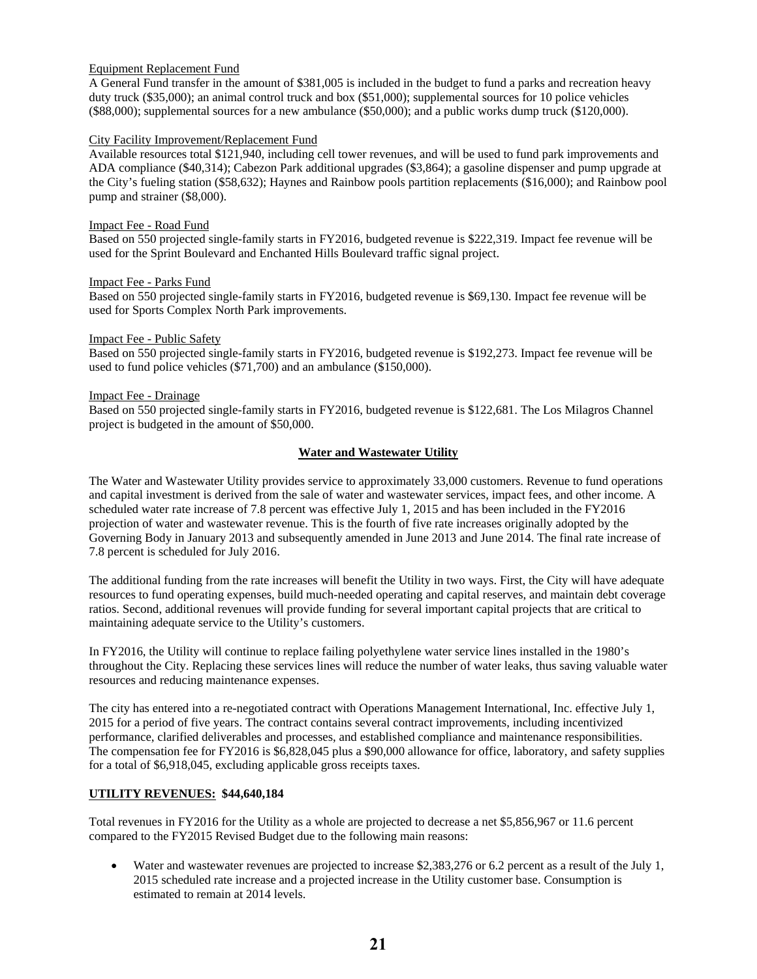# Equipment Replacement Fund

 duty truck (\$35,000); an animal control truck and box (\$51,000); supplemental sources for 10 police vehicles A General Fund transfer in the amount of \$381,005 is included in the budget to fund a parks and recreation heavy (\$88,000); supplemental sources for a new ambulance (\$50,000); and a public works dump truck (\$120,000).

## City Facility Improvement/Replacement Fund

Available resources total \$121,940, including cell tower revenues, and will be used to fund park improvements and ADA compliance (\$40,314); Cabezon Park additional upgrades (\$3,864); a gasoline dispenser and pump upgrade at the City's fueling station (\$58,632); Haynes and Rainbow pools partition replacements (\$16,000); and Rainbow pool pump and strainer (\$8,000).

## Impact Fee - Road Fund

 Based on 550 projected single-family starts in FY2016, budgeted revenue is \$222,319. Impact fee revenue will be used for the Sprint Boulevard and Enchanted Hills Boulevard traffic signal project.

### Impact Fee - Parks Fund

 Based on 550 projected single-family starts in FY2016, budgeted revenue is \$69,130. Impact fee revenue will be used for Sports Complex North Park improvements.

### Impact Fee - Public Safety

 Based on 550 projected single-family starts in FY2016, budgeted revenue is \$192,273. Impact fee revenue will be used to fund police vehicles (\$71,700) and an ambulance (\$150,000).

### Impact Fee - Drainage

 Based on 550 projected single-family starts in FY2016, budgeted revenue is \$122,681. The Los Milagros Channel project is budgeted in the amount of \$50,000.

# **Water and Wastewater Utility**

 The Water and Wastewater Utility provides service to approximately 33,000 customers. Revenue to fund operations 7.8 percent is scheduled for July 2016. and capital investment is derived from the sale of water and wastewater services, impact fees, and other income. A scheduled water rate increase of 7.8 percent was effective July 1, 2015 and has been included in the FY2016 projection of water and wastewater revenue. This is the fourth of five rate increases originally adopted by the Governing Body in January 2013 and subsequently amended in June 2013 and June 2014. The final rate increase of

The additional funding from the rate increases will benefit the Utility in two ways. First, the City will have adequate resources to fund operating expenses, build much-needed operating and capital reserves, and maintain debt coverage ratios. Second, additional revenues will provide funding for several important capital projects that are critical to maintaining adequate service to the Utility's customers.

In FY2016, the Utility will continue to replace failing polyethylene water service lines installed in the 1980's throughout the City. Replacing these services lines will reduce the number of water leaks, thus saving valuable water resources and reducing maintenance expenses.

 The compensation fee for FY2016 is \$6,828,045 plus a \$90,000 allowance for office, laboratory, and safety supplies for a total of \$6,918,045, excluding applicable gross receipts taxes. The city has entered into a re-negotiated contract with Operations Management International, Inc. effective July 1, 2015 for a period of five years. The contract contains several contract improvements, including incentivized performance, clarified deliverables and processes, and established compliance and maintenance responsibilities.

# **UTILITY REVENUES: \$44,640,184**

Total revenues in FY2016 for the Utility as a whole are projected to decrease a net \$5,856,967 or 11.6 percent compared to the FY2015 Revised Budget due to the following main reasons:

 Water and wastewater revenues are projected to increase \$2,383,276 or 6.2 percent as a result of the July 1, 2015 scheduled rate increase and a projected increase in the Utility customer base. Consumption is estimated to remain at 2014 levels.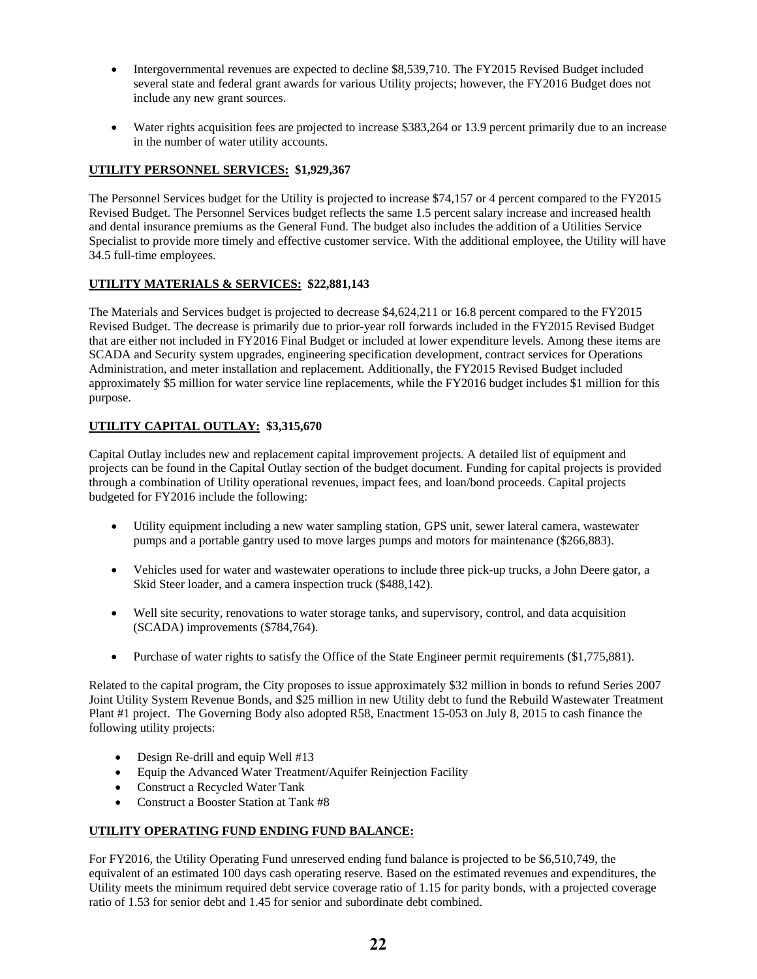- Intergovernmental revenues are expected to decline \$8,539,710. The FY2015 Revised Budget included several state and federal grant awards for various Utility projects; however, the FY2016 Budget does not include any new grant sources.
- Water rights acquisition fees are projected to increase \$383,264 or 13.9 percent primarily due to an increase in the number of water utility accounts.

# **UTILITY PERSONNEL SERVICES: \$1,929,367**

 Revised Budget. The Personnel Services budget reflects the same 1.5 percent salary increase and increased health The Personnel Services budget for the Utility is projected to increase \$74,157 or 4 percent compared to the FY2015 and dental insurance premiums as the General Fund. The budget also includes the addition of a Utilities Service Specialist to provide more timely and effective customer service. With the additional employee, the Utility will have 34.5 full-time employees.

# **UTILITY MATERIALS & SERVICES: \$22,881,143**

 that are either not included in FY2016 Final Budget or included at lower expenditure levels. Among these items are The Materials and Services budget is projected to decrease \$4,624,211 or 16.8 percent compared to the FY2015 Revised Budget. The decrease is primarily due to prior-year roll forwards included in the FY2015 Revised Budget SCADA and Security system upgrades, engineering specification development, contract services for Operations Administration, and meter installation and replacement. Additionally, the FY2015 Revised Budget included approximately \$5 million for water service line replacements, while the FY2016 budget includes \$1 million for this purpose.

# **UTILITY CAPITAL OUTLAY: \$3,315,670**

Capital Outlay includes new and replacement capital improvement projects. A detailed list of equipment and projects can be found in the Capital Outlay section of the budget document. Funding for capital projects is provided through a combination of Utility operational revenues, impact fees, and loan/bond proceeds. Capital projects budgeted for FY2016 include the following:

- pumps and a portable gantry used to move larges pumps and motors for maintenance (\$266,883). Utility equipment including a new water sampling station, GPS unit, sewer lateral camera, wastewater
- Vehicles used for water and wastewater operations to include three pick-up trucks, a John Deere gator, a Skid Steer loader, and a camera inspection truck (\$488,142).
- Well site security, renovations to water storage tanks, and supervisory, control, and data acquisition (SCADA) improvements (\$784,764).
- Purchase of water rights to satisfy the Office of the State Engineer permit requirements (\$1,775,881).

 Purchase of water rights to satisfy the Office of the State Engineer permit requirements (\$1,775,881). Related to the capital program, the City proposes to issue approximately \$32 million in bonds to refund Series 2007 Joint Utility System Revenue Bonds, and \$25 million in new Utility debt to fund the Rebuild Wastewater Treatment Plant #1 project. The Governing Body also adopted R58, Enactment 15-053 on July 8, 2015 to cash finance the following utility projects:

- Design Re-drill and equip Well #13
- Equip the Advanced Water Treatment/Aquifer Reinjection Facility
- Construct a Recycled Water Tank
- Construct a Booster Station at Tank #8

# **UTILITY OPERATING FUND ENDING FUND BALANCE:**

 ratio of 1.53 for senior debt and 1.45 for senior and subordinate debt combined. For FY2016, the Utility Operating Fund unreserved ending fund balance is projected to be \$6,510,749, the equivalent of an estimated 100 days cash operating reserve. Based on the estimated revenues and expenditures, the Utility meets the minimum required debt service coverage ratio of 1.15 for parity bonds, with a projected coverage